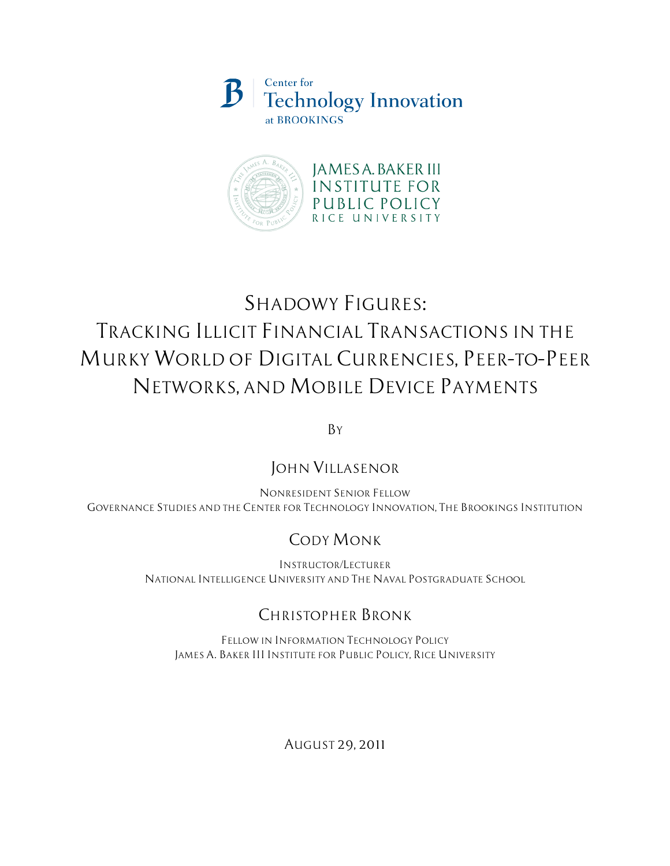



# *SHADOWY FIGURES: TRACKING ILLICIT FINANCIAL TRANSACTIONS IN THE MURKY WORLD OF DIGITAL CURRENCIES, PEER–TO–PEER NETWORKS, AND MOBILE DEVICE PAYMENTS*

*BY*

# *JOHN VILLASENOR*

*NONRESIDENT SENIOR FELLOW GOVERNANCE STUDIES AND THE CENTER FOR TECHNOLOGY INNOVATION, THE BROOKINGS INSTITUTION*

# *CODY MONK*

*INSTRUCTOR/LECTURER NATIONAL INTELLIGENCE UNIVERSITY AND THE NAVAL POSTGRADUATE SCHOOL*

# *CHRISTOPHER BRONK*

*FELLOW IN INFORMATION TECHNOLOGY POLICY JAMES A. BAKER III INSTITUTE FOR PUBLIC POLICY, RICE UNIVERSITY*

*AUGUST 29, 2011*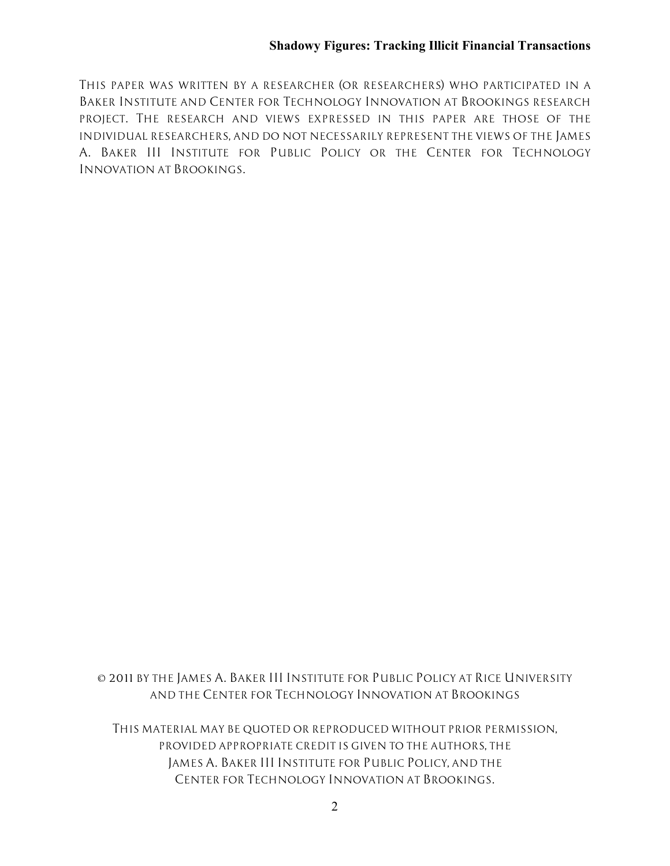*THIS PAPER WAS WRITTEN BY A RESEARCHER (OR RESEARCHERS) WHO PARTICIPATED IN A BAKER INSTITUTE AND CENTER FOR TECHNOLOGY INNOVATION AT BROOKINGS RESEARCH PROJECT. THE RESEARCH AND VIEWS EXPRESSED IN THIS PAPER ARE THOSE OF THE INDIVIDUAL RESEARCHERS, AND DO NOT NECESSARILY REPRESENT THE VIEWS OF THE JAMES A. BAKER III INSTITUTE FOR PUBLIC POLICY OR THE CENTER FOR TECHNOLOGY INNOVATION AT BROOKINGS.*

*© 2011 BY THE JAMES A. BAKER III INSTITUTE FOR PUBLIC POLICY AT RICE UNIVERSITY AND THE CENTER FOR TECHNOLOGY INNOVATION AT BROOKINGS*

*THIS MATERIAL MAY BE QUOTED OR REPRODUCED WITHOUT PRIOR PERMISSION, PROVIDED APPROPRIATE CREDIT IS GIVEN TO THE AUTHORS, THE JAMES A. BAKER III INSTITUTE FOR PUBLIC POLICY, AND THE CENTER FOR TECHNOLOGY INNOVATION AT BROOKINGS.*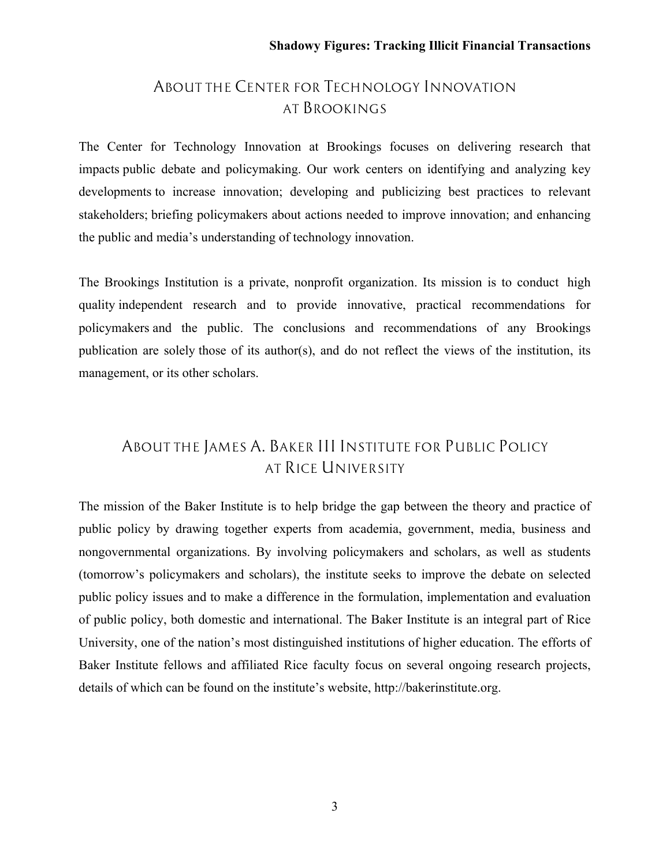# *ABOUT THE CENTER FOR TECHNOLOGY INNOVATION AT BROOKINGS*

The Center for Technology Innovation at Brookings focuses on delivering research that impacts public debate and policymaking. Our work centers on identifying and analyzing key developments to increase innovation; developing and publicizing best practices to relevant stakeholders; briefing policymakers about actions needed to improve innovation; and enhancing the public and media's understanding of technology innovation.

The Brookings Institution is a private, nonprofit organization. Its mission is to conduct high quality independent research and to provide innovative, practical recommendations for policymakers and the public. The conclusions and recommendations of any Brookings publication are solely those of its author(s), and do not reflect the views of the institution, its management, or its other scholars.

# *ABOUT THE JAMES A. BAKER III INSTITUTE FOR PUBLIC POLICY AT RICE UNIVERSITY*

The mission of the Baker Institute is to help bridge the gap between the theory and practice of public policy by drawing together experts from academia, government, media, business and nongovernmental organizations. By involving policymakers and scholars, as well as students (tomorrow's policymakers and scholars), the institute seeks to improve the debate on selected public policy issues and to make a difference in the formulation, implementation and evaluation of public policy, both domestic and international. The Baker Institute is an integral part of Rice University, one of the nation's most distinguished institutions of higher education. The efforts of Baker Institute fellows and affiliated Rice faculty focus on several ongoing research projects, details of which can be found on the institute's website, http://bakerinstitute.org.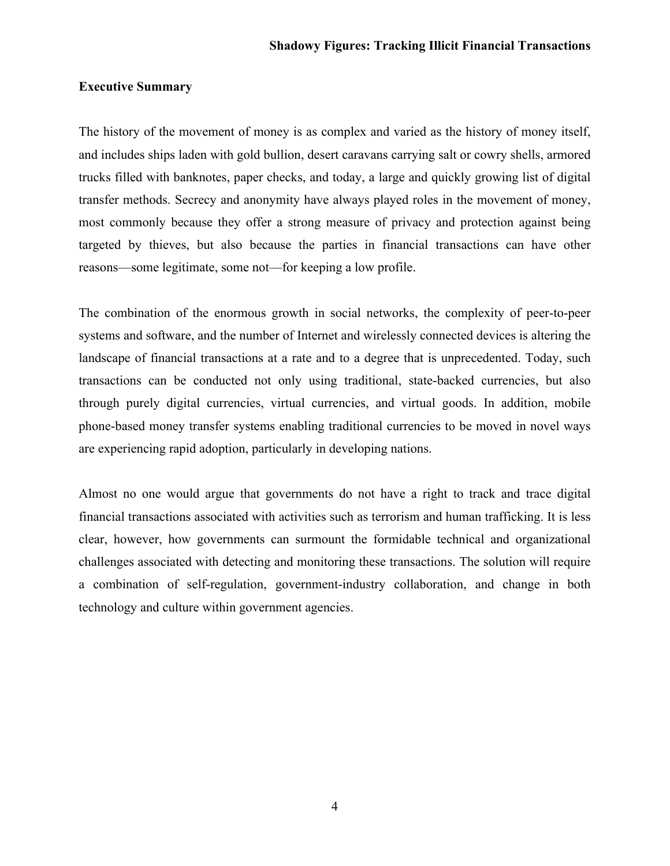### **Executive Summary**

The history of the movement of money is as complex and varied as the history of money itself, and includes ships laden with gold bullion, desert caravans carrying salt or cowry shells, armored trucks filled with banknotes, paper checks, and today, a large and quickly growing list of digital transfer methods. Secrecy and anonymity have always played roles in the movement of money, most commonly because they offer a strong measure of privacy and protection against being targeted by thieves, but also because the parties in financial transactions can have other reasons—some legitimate, some not—for keeping a low profile.

The combination of the enormous growth in social networks, the complexity of peer-to-peer systems and software, and the number of Internet and wirelessly connected devices is altering the landscape of financial transactions at a rate and to a degree that is unprecedented. Today, such transactions can be conducted not only using traditional, state-backed currencies, but also through purely digital currencies, virtual currencies, and virtual goods. In addition, mobile phone-based money transfer systems enabling traditional currencies to be moved in novel ways are experiencing rapid adoption, particularly in developing nations.

Almost no one would argue that governments do not have a right to track and trace digital financial transactions associated with activities such as terrorism and human trafficking. It is less clear, however, how governments can surmount the formidable technical and organizational challenges associated with detecting and monitoring these transactions. The solution will require a combination of self-regulation, government-industry collaboration, and change in both technology and culture within government agencies.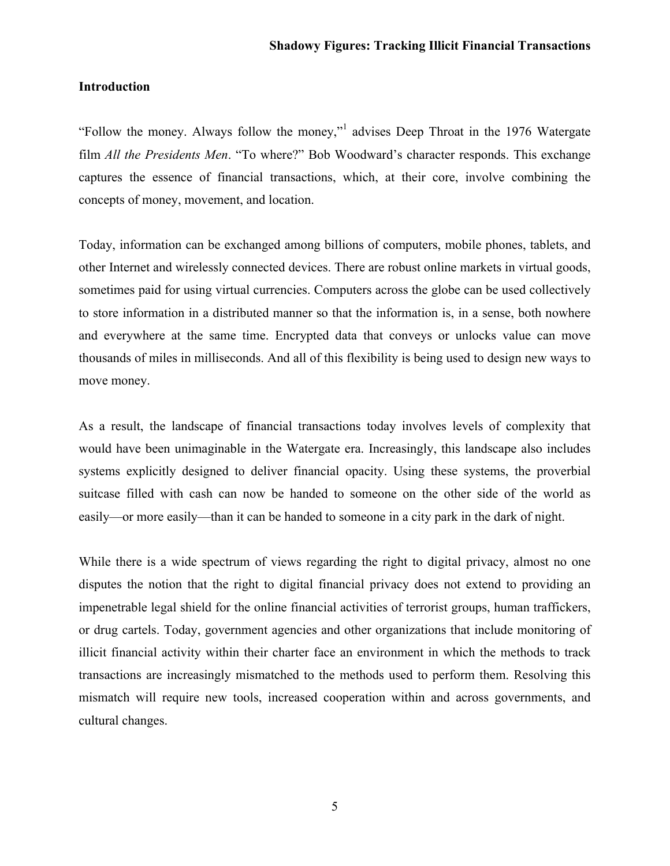### **Introduction**

"Follow the money. Always follow the money,"<sup>1</sup> advises Deep Throat in the 1976 Watergate film *All the Presidents Men*. "To where?" Bob Woodward's character responds. This exchange captures the essence of financial transactions, which, at their core, involve combining the concepts of money, movement, and location.

Today, information can be exchanged among billions of computers, mobile phones, tablets, and other Internet and wirelessly connected devices. There are robust online markets in virtual goods, sometimes paid for using virtual currencies. Computers across the globe can be used collectively to store information in a distributed manner so that the information is, in a sense, both nowhere and everywhere at the same time. Encrypted data that conveys or unlocks value can move thousands of miles in milliseconds. And all of this flexibility is being used to design new ways to move money.

As a result, the landscape of financial transactions today involves levels of complexity that would have been unimaginable in the Watergate era. Increasingly, this landscape also includes systems explicitly designed to deliver financial opacity. Using these systems, the proverbial suitcase filled with cash can now be handed to someone on the other side of the world as easily—or more easily—than it can be handed to someone in a city park in the dark of night.

While there is a wide spectrum of views regarding the right to digital privacy, almost no one disputes the notion that the right to digital financial privacy does not extend to providing an impenetrable legal shield for the online financial activities of terrorist groups, human traffickers, or drug cartels. Today, government agencies and other organizations that include monitoring of illicit financial activity within their charter face an environment in which the methods to track transactions are increasingly mismatched to the methods used to perform them. Resolving this mismatch will require new tools, increased cooperation within and across governments, and cultural changes.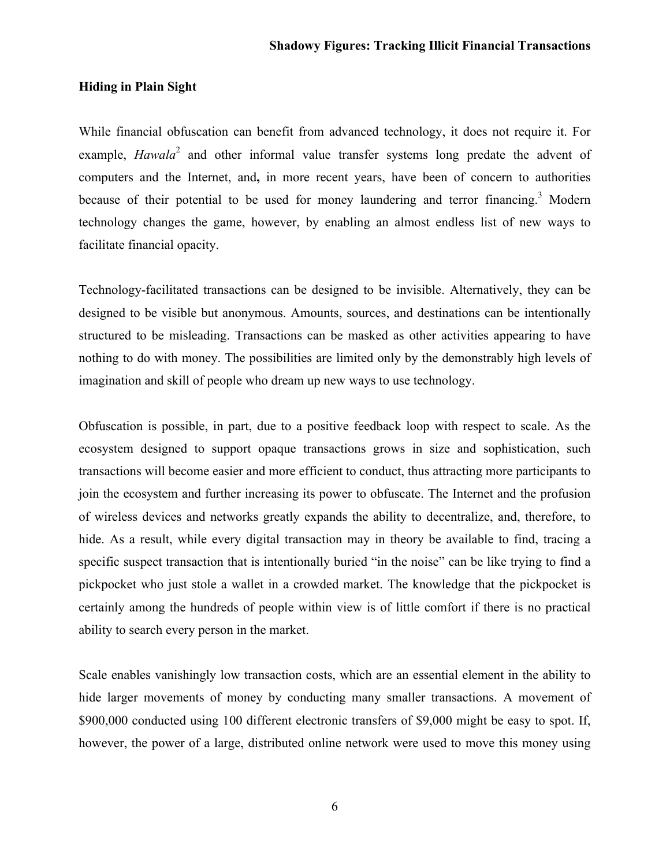### **Hiding in Plain Sight**

While financial obfuscation can benefit from advanced technology, it does not require it. For example, *Hawala*<sup>2</sup> and other informal value transfer systems long predate the advent of computers and the Internet, and**,** in more recent years, have been of concern to authorities because of their potential to be used for money laundering and terror financing.<sup>3</sup> Modern technology changes the game, however, by enabling an almost endless list of new ways to facilitate financial opacity.

Technology-facilitated transactions can be designed to be invisible. Alternatively, they can be designed to be visible but anonymous. Amounts, sources, and destinations can be intentionally structured to be misleading. Transactions can be masked as other activities appearing to have nothing to do with money. The possibilities are limited only by the demonstrably high levels of imagination and skill of people who dream up new ways to use technology.

Obfuscation is possible, in part, due to a positive feedback loop with respect to scale. As the ecosystem designed to support opaque transactions grows in size and sophistication, such transactions will become easier and more efficient to conduct, thus attracting more participants to join the ecosystem and further increasing its power to obfuscate. The Internet and the profusion of wireless devices and networks greatly expands the ability to decentralize, and, therefore, to hide. As a result, while every digital transaction may in theory be available to find, tracing a specific suspect transaction that is intentionally buried "in the noise" can be like trying to find a pickpocket who just stole a wallet in a crowded market. The knowledge that the pickpocket is certainly among the hundreds of people within view is of little comfort if there is no practical ability to search every person in the market.

Scale enables vanishingly low transaction costs, which are an essential element in the ability to hide larger movements of money by conducting many smaller transactions. A movement of \$900,000 conducted using 100 different electronic transfers of \$9,000 might be easy to spot. If, however, the power of a large, distributed online network were used to move this money using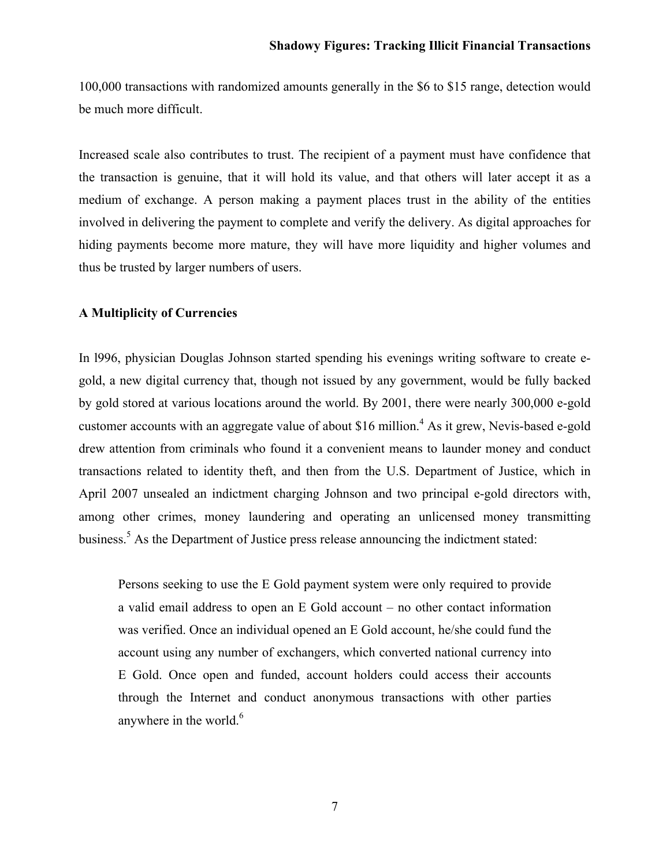100,000 transactions with randomized amounts generally in the \$6 to \$15 range, detection would be much more difficult.

Increased scale also contributes to trust. The recipient of a payment must have confidence that the transaction is genuine, that it will hold its value, and that others will later accept it as a medium of exchange. A person making a payment places trust in the ability of the entities involved in delivering the payment to complete and verify the delivery. As digital approaches for hiding payments become more mature, they will have more liquidity and higher volumes and thus be trusted by larger numbers of users.

### **A Multiplicity of Currencies**

In l996, physician Douglas Johnson started spending his evenings writing software to create egold, a new digital currency that, though not issued by any government, would be fully backed by gold stored at various locations around the world. By 2001, there were nearly 300,000 e-gold customer accounts with an aggregate value of about \$16 million.<sup>4</sup> As it grew, Nevis-based e-gold drew attention from criminals who found it a convenient means to launder money and conduct transactions related to identity theft, and then from the U.S. Department of Justice, which in April 2007 unsealed an indictment charging Johnson and two principal e-gold directors with, among other crimes, money laundering and operating an unlicensed money transmitting business.<sup>5</sup> As the Department of Justice press release announcing the indictment stated:

Persons seeking to use the E Gold payment system were only required to provide a valid email address to open an E Gold account – no other contact information was verified. Once an individual opened an E Gold account, he/she could fund the account using any number of exchangers, which converted national currency into E Gold. Once open and funded, account holders could access their accounts through the Internet and conduct anonymous transactions with other parties anywhere in the world. $<sup>6</sup>$ </sup>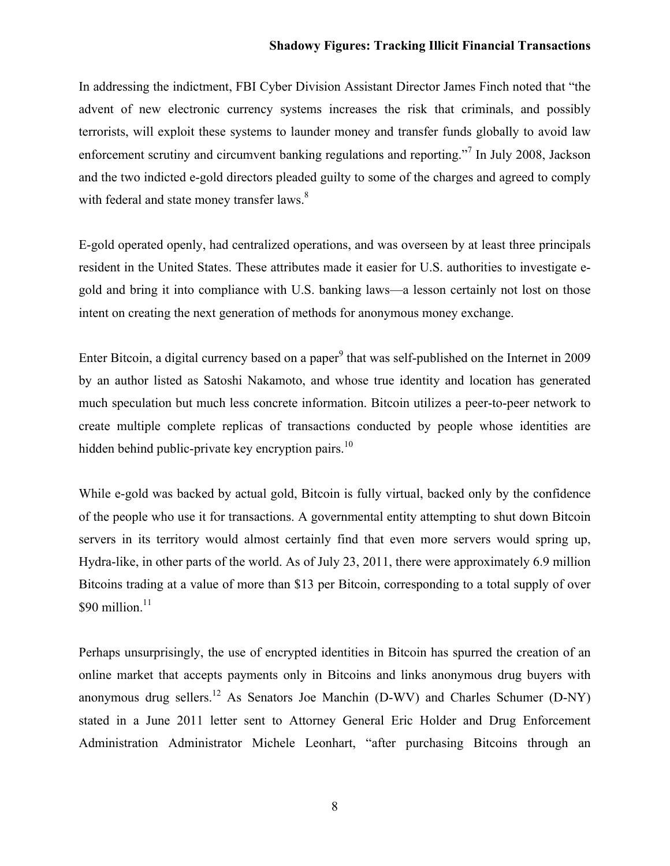In addressing the indictment, FBI Cyber Division Assistant Director James Finch noted that "the advent of new electronic currency systems increases the risk that criminals, and possibly terrorists, will exploit these systems to launder money and transfer funds globally to avoid law enforcement scrutiny and circumvent banking regulations and reporting."<sup>7</sup> In July 2008, Jackson and the two indicted e-gold directors pleaded guilty to some of the charges and agreed to comply with federal and state money transfer laws.<sup>8</sup>

E-gold operated openly, had centralized operations, and was overseen by at least three principals resident in the United States. These attributes made it easier for U.S. authorities to investigate egold and bring it into compliance with U.S. banking laws—a lesson certainly not lost on those intent on creating the next generation of methods for anonymous money exchange.

Enter Bitcoin, a digital currency based on a paper<sup>9</sup> that was self-published on the Internet in 2009 by an author listed as Satoshi Nakamoto, and whose true identity and location has generated much speculation but much less concrete information. Bitcoin utilizes a peer-to-peer network to create multiple complete replicas of transactions conducted by people whose identities are hidden behind public-private key encryption pairs.<sup>10</sup>

While e-gold was backed by actual gold, Bitcoin is fully virtual, backed only by the confidence of the people who use it for transactions. A governmental entity attempting to shut down Bitcoin servers in its territory would almost certainly find that even more servers would spring up, Hydra-like, in other parts of the world. As of July 23, 2011, there were approximately 6.9 million Bitcoins trading at a value of more than \$13 per Bitcoin, corresponding to a total supply of over  $$90$  million.<sup>11</sup>

Perhaps unsurprisingly, the use of encrypted identities in Bitcoin has spurred the creation of an online market that accepts payments only in Bitcoins and links anonymous drug buyers with anonymous drug sellers.<sup>12</sup> As Senators Joe Manchin (D-WV) and Charles Schumer (D-NY) stated in a June 2011 letter sent to Attorney General Eric Holder and Drug Enforcement Administration Administrator Michele Leonhart, "after purchasing Bitcoins through an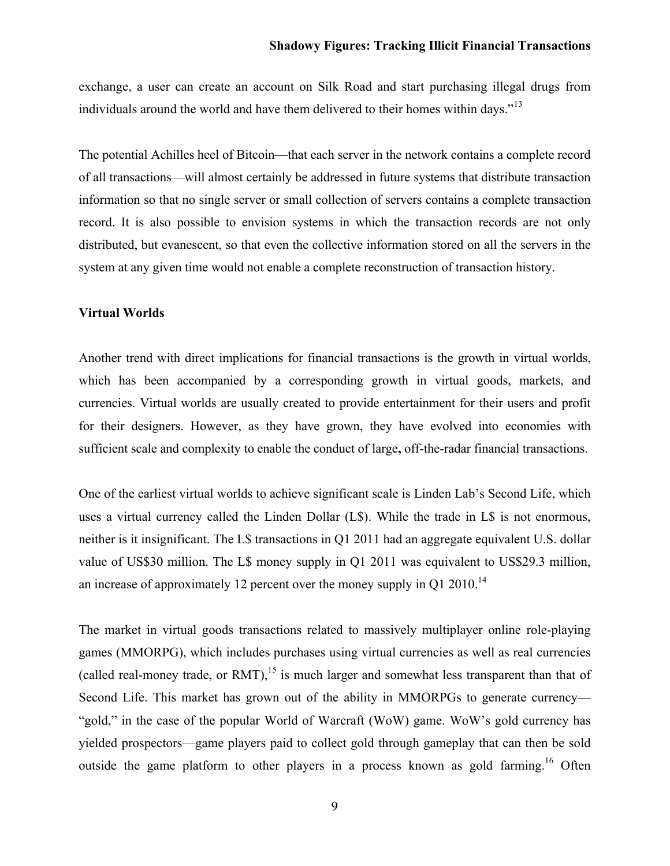exchange, a user can create an account on Silk Road and start purchasing illegal drugs from individuals around the world and have them delivered to their homes within days."<sup>13</sup>

The potential Achilles heel of Bitcoin—that each server in the network contains a complete record of all transactions—will almost certainly be addressed in future systems that distribute transaction information so that no single server or small collection of servers contains a complete transaction record. It is also possible to envision systems in which the transaction records are not only distributed, but evanescent, so that even the collective information stored on all the servers in the system at any given time would not enable a complete reconstruction of transaction history.

#### **Virtual Worlds**

Another trend with direct implications for financial transactions is the growth in virtual worlds, which has been accompanied by a corresponding growth in virtual goods, markets, and currencies. Virtual worlds are usually created to provide entertainment for their users and profit for their designers. However, as they have grown, they have evolved into economies with sufficient scale and complexity to enable the conduct of large**,** off-the-radar financial transactions.

One of the earliest virtual worlds to achieve significant scale is Linden Lab's Second Life, which uses a virtual currency called the Linden Dollar (L\$). While the trade in L\$ is not enormous, neither is it insignificant. The L\$ transactions in Q1 2011 had an aggregate equivalent U.S. dollar value of US\$30 million. The L\$ money supply in Q1 2011 was equivalent to US\$29.3 million, an increase of approximately 12 percent over the money supply in Q1 2010.<sup>14</sup>

The market in virtual goods transactions related to massively multiplayer online role-playing games (MMORPG), which includes purchases using virtual currencies as well as real currencies (called real-money trade, or RMT),<sup>15</sup> is much larger and somewhat less transparent than that of Second Life. This market has grown out of the ability in MMORPGs to generate currency— "gold," in the case of the popular World of Warcraft (WoW) game. WoW's gold currency has yielded prospectors—game players paid to collect gold through gameplay that can then be sold outside the game platform to other players in a process known as gold farming.<sup>16</sup> Often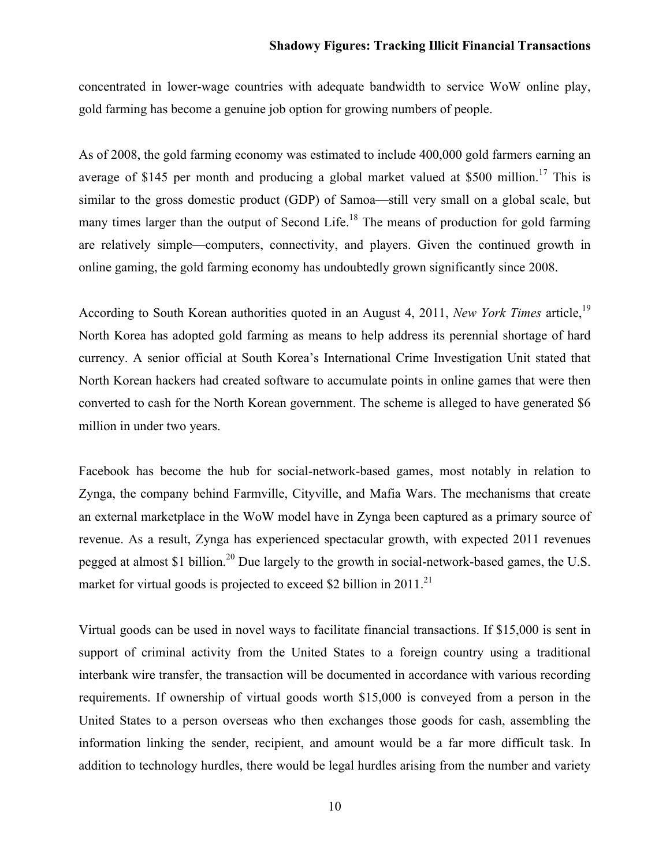concentrated in lower-wage countries with adequate bandwidth to service WoW online play, gold farming has become a genuine job option for growing numbers of people.

As of 2008, the gold farming economy was estimated to include 400,000 gold farmers earning an average of \$145 per month and producing a global market valued at \$500 million.<sup>17</sup> This is similar to the gross domestic product (GDP) of Samoa—still very small on a global scale, but many times larger than the output of Second Life.<sup>18</sup> The means of production for gold farming are relatively simple—computers, connectivity, and players. Given the continued growth in online gaming, the gold farming economy has undoubtedly grown significantly since 2008.

According to South Korean authorities quoted in an August 4, 2011, *New York Times* article,<sup>19</sup> North Korea has adopted gold farming as means to help address its perennial shortage of hard currency. A senior official at South Korea's International Crime Investigation Unit stated that North Korean hackers had created software to accumulate points in online games that were then converted to cash for the North Korean government. The scheme is alleged to have generated \$6 million in under two years.

Facebook has become the hub for social-network-based games, most notably in relation to Zynga, the company behind Farmville, Cityville, and Mafia Wars. The mechanisms that create an external marketplace in the WoW model have in Zynga been captured as a primary source of revenue. As a result, Zynga has experienced spectacular growth, with expected 2011 revenues pegged at almost \$1 billion.<sup>20</sup> Due largely to the growth in social-network-based games, the U.S. market for virtual goods is projected to exceed \$2 billion in 2011.<sup>21</sup>

Virtual goods can be used in novel ways to facilitate financial transactions. If \$15,000 is sent in support of criminal activity from the United States to a foreign country using a traditional interbank wire transfer, the transaction will be documented in accordance with various recording requirements. If ownership of virtual goods worth \$15,000 is conveyed from a person in the United States to a person overseas who then exchanges those goods for cash, assembling the information linking the sender, recipient, and amount would be a far more difficult task. In addition to technology hurdles, there would be legal hurdles arising from the number and variety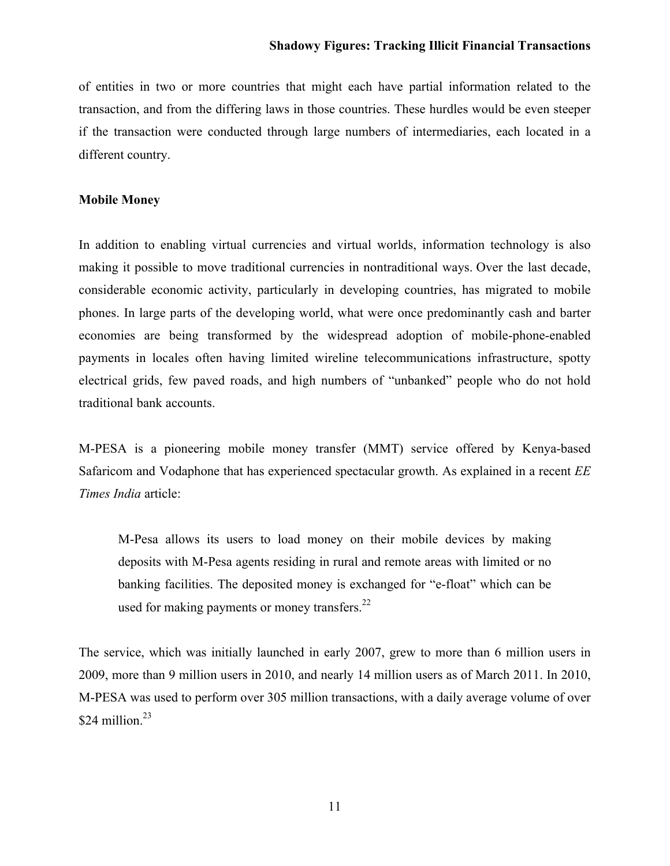of entities in two or more countries that might each have partial information related to the transaction, and from the differing laws in those countries. These hurdles would be even steeper if the transaction were conducted through large numbers of intermediaries, each located in a different country.

#### **Mobile Money**

In addition to enabling virtual currencies and virtual worlds, information technology is also making it possible to move traditional currencies in nontraditional ways. Over the last decade, considerable economic activity, particularly in developing countries, has migrated to mobile phones. In large parts of the developing world, what were once predominantly cash and barter economies are being transformed by the widespread adoption of mobile-phone-enabled payments in locales often having limited wireline telecommunications infrastructure, spotty electrical grids, few paved roads, and high numbers of "unbanked" people who do not hold traditional bank accounts.

M-PESA is a pioneering mobile money transfer (MMT) service offered by Kenya-based Safaricom and Vodaphone that has experienced spectacular growth. As explained in a recent *EE Times India* article:

M-Pesa allows its users to load money on their mobile devices by making deposits with M-Pesa agents residing in rural and remote areas with limited or no banking facilities. The deposited money is exchanged for "e-float" which can be used for making payments or money transfers.<sup>22</sup>

The service, which was initially launched in early 2007, grew to more than 6 million users in 2009, more than 9 million users in 2010, and nearly 14 million users as of March 2011. In 2010, M-PESA was used to perform over 305 million transactions, with a daily average volume of over \$24 million. $23$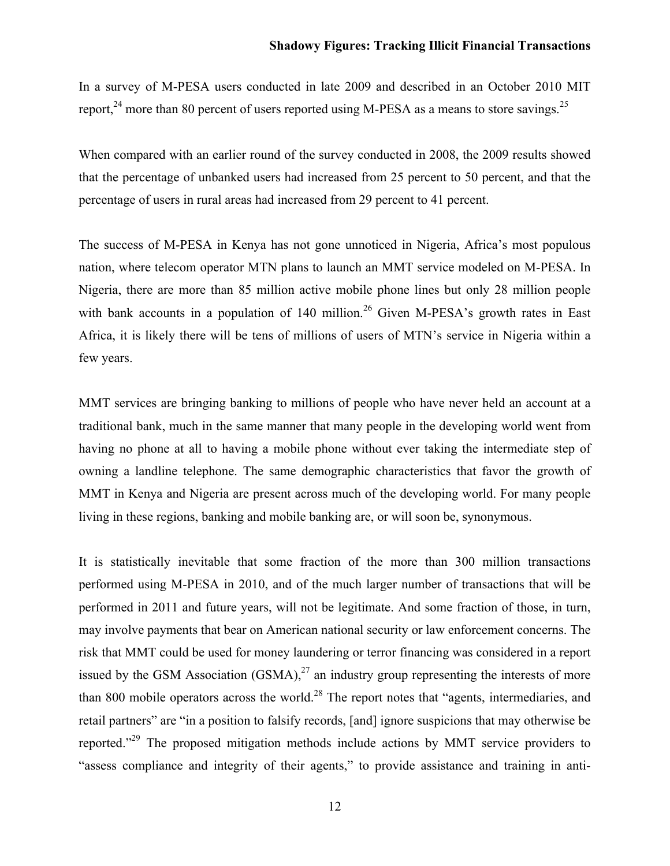In a survey of M-PESA users conducted in late 2009 and described in an October 2010 MIT report, $24$  more than 80 percent of users reported using M-PESA as a means to store savings.<sup>25</sup>

When compared with an earlier round of the survey conducted in 2008, the 2009 results showed that the percentage of unbanked users had increased from 25 percent to 50 percent, and that the percentage of users in rural areas had increased from 29 percent to 41 percent.

The success of M-PESA in Kenya has not gone unnoticed in Nigeria, Africa's most populous nation, where telecom operator MTN plans to launch an MMT service modeled on M-PESA. In Nigeria, there are more than 85 million active mobile phone lines but only 28 million people with bank accounts in a population of  $140 \text{ million.}^{26}$  Given M-PESA's growth rates in East Africa, it is likely there will be tens of millions of users of MTN's service in Nigeria within a few years.

MMT services are bringing banking to millions of people who have never held an account at a traditional bank, much in the same manner that many people in the developing world went from having no phone at all to having a mobile phone without ever taking the intermediate step of owning a landline telephone. The same demographic characteristics that favor the growth of MMT in Kenya and Nigeria are present across much of the developing world. For many people living in these regions, banking and mobile banking are, or will soon be, synonymous.

It is statistically inevitable that some fraction of the more than 300 million transactions performed using M-PESA in 2010, and of the much larger number of transactions that will be performed in 2011 and future years, will not be legitimate. And some fraction of those, in turn, may involve payments that bear on American national security or law enforcement concerns. The risk that MMT could be used for money laundering or terror financing was considered in a report issued by the GSM Association  $(GSMA)$ ,<sup>27</sup> an industry group representing the interests of more than 800 mobile operators across the world.<sup>28</sup> The report notes that "agents, intermediaries, and retail partners" are "in a position to falsify records, [and] ignore suspicions that may otherwise be reported."<sup>29</sup> The proposed mitigation methods include actions by MMT service providers to "assess compliance and integrity of their agents," to provide assistance and training in anti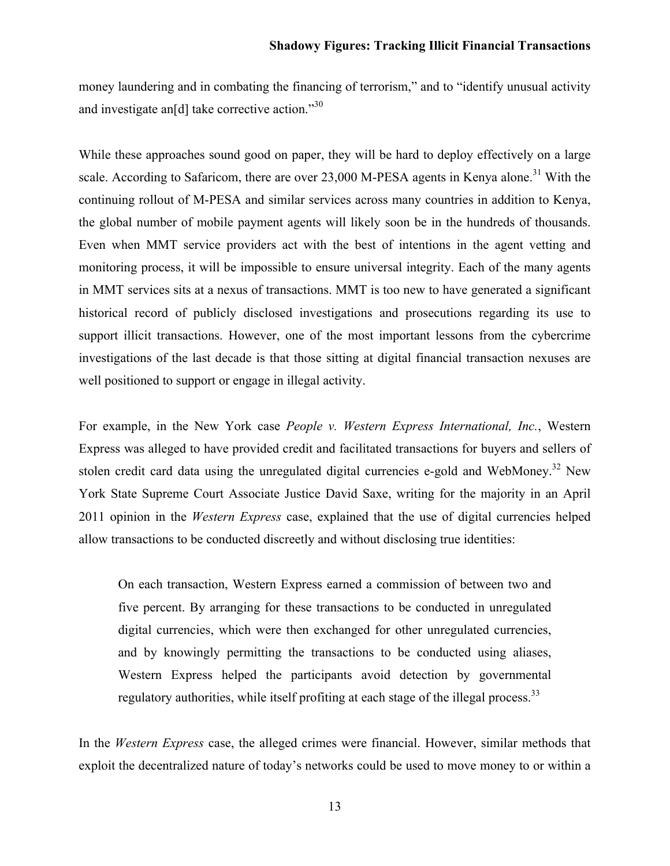money laundering and in combating the financing of terrorism," and to "identify unusual activity and investigate an[d] take corrective action." <sup>30</sup>

While these approaches sound good on paper, they will be hard to deploy effectively on a large scale. According to Safaricom, there are over  $23,000$  M-PESA agents in Kenya alone.<sup>31</sup> With the continuing rollout of M-PESA and similar services across many countries in addition to Kenya, the global number of mobile payment agents will likely soon be in the hundreds of thousands. Even when MMT service providers act with the best of intentions in the agent vetting and monitoring process, it will be impossible to ensure universal integrity. Each of the many agents in MMT services sits at a nexus of transactions. MMT is too new to have generated a significant historical record of publicly disclosed investigations and prosecutions regarding its use to support illicit transactions. However, one of the most important lessons from the cybercrime investigations of the last decade is that those sitting at digital financial transaction nexuses are well positioned to support or engage in illegal activity.

For example, in the New York case *People v. Western Express International, Inc.*, Western Express was alleged to have provided credit and facilitated transactions for buyers and sellers of stolen credit card data using the unregulated digital currencies e-gold and WebMoney.<sup>32</sup> New York State Supreme Court Associate Justice David Saxe, writing for the majority in an April 2011 opinion in the *Western Express* case, explained that the use of digital currencies helped allow transactions to be conducted discreetly and without disclosing true identities:

On each transaction, Western Express earned a commission of between two and five percent. By arranging for these transactions to be conducted in unregulated digital currencies, which were then exchanged for other unregulated currencies, and by knowingly permitting the transactions to be conducted using aliases, Western Express helped the participants avoid detection by governmental regulatory authorities, while itself profiting at each stage of the illegal process.<sup>33</sup>

In the *Western Express* case, the alleged crimes were financial. However, similar methods that exploit the decentralized nature of today's networks could be used to move money to or within a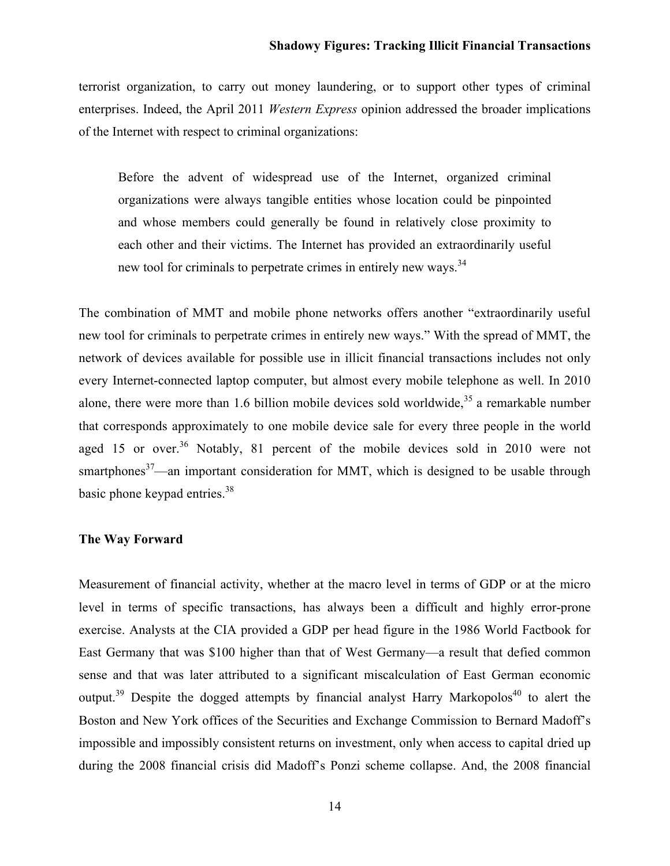terrorist organization, to carry out money laundering, or to support other types of criminal enterprises. Indeed, the April 2011 *Western Express* opinion addressed the broader implications of the Internet with respect to criminal organizations:

Before the advent of widespread use of the Internet, organized criminal organizations were always tangible entities whose location could be pinpointed and whose members could generally be found in relatively close proximity to each other and their victims. The Internet has provided an extraordinarily useful new tool for criminals to perpetrate crimes in entirely new ways.<sup>34</sup>

The combination of MMT and mobile phone networks offers another "extraordinarily useful new tool for criminals to perpetrate crimes in entirely new ways." With the spread of MMT, the network of devices available for possible use in illicit financial transactions includes not only every Internet-connected laptop computer, but almost every mobile telephone as well. In 2010 alone, there were more than 1.6 billion mobile devices sold worldwide,<sup>35</sup> a remarkable number that corresponds approximately to one mobile device sale for every three people in the world aged 15 or over.<sup>36</sup> Notably, 81 percent of the mobile devices sold in 2010 were not smartphones<sup>37</sup>—an important consideration for MMT, which is designed to be usable through basic phone keypad entries. $38$ 

#### **The Way Forward**

Measurement of financial activity, whether at the macro level in terms of GDP or at the micro level in terms of specific transactions, has always been a difficult and highly error-prone exercise. Analysts at the CIA provided a GDP per head figure in the 1986 World Factbook for East Germany that was \$100 higher than that of West Germany—a result that defied common sense and that was later attributed to a significant miscalculation of East German economic output.<sup>39</sup> Despite the dogged attempts by financial analyst Harry Markopolos<sup>40</sup> to alert the Boston and New York offices of the Securities and Exchange Commission to Bernard Madoff's impossible and impossibly consistent returns on investment, only when access to capital dried up during the 2008 financial crisis did Madoff's Ponzi scheme collapse. And, the 2008 financial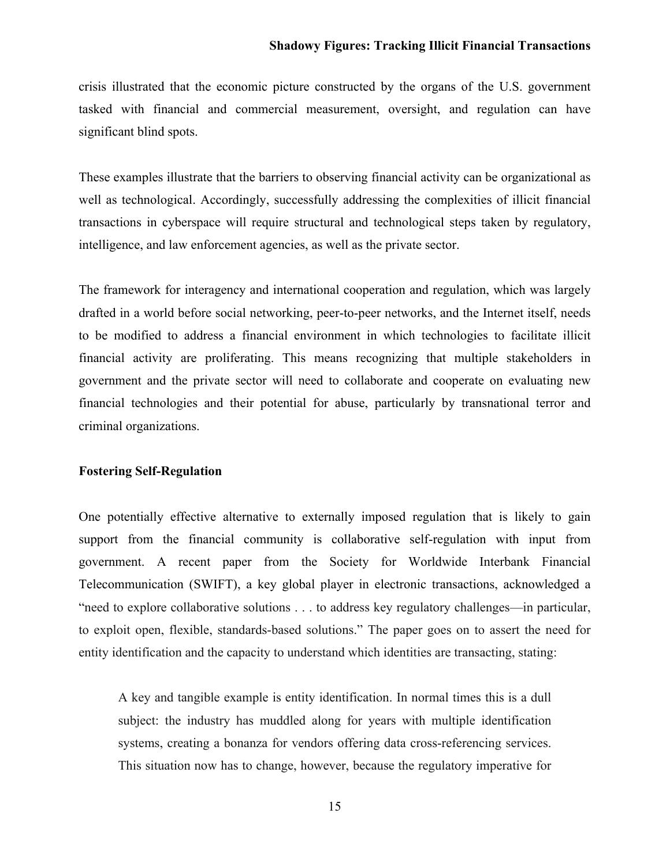crisis illustrated that the economic picture constructed by the organs of the U.S. government tasked with financial and commercial measurement, oversight, and regulation can have significant blind spots.

These examples illustrate that the barriers to observing financial activity can be organizational as well as technological. Accordingly, successfully addressing the complexities of illicit financial transactions in cyberspace will require structural and technological steps taken by regulatory, intelligence, and law enforcement agencies, as well as the private sector.

The framework for interagency and international cooperation and regulation, which was largely drafted in a world before social networking, peer-to-peer networks, and the Internet itself, needs to be modified to address a financial environment in which technologies to facilitate illicit financial activity are proliferating. This means recognizing that multiple stakeholders in government and the private sector will need to collaborate and cooperate on evaluating new financial technologies and their potential for abuse, particularly by transnational terror and criminal organizations.

#### **Fostering Self-Regulation**

One potentially effective alternative to externally imposed regulation that is likely to gain support from the financial community is collaborative self-regulation with input from government. A recent paper from the Society for Worldwide Interbank Financial Telecommunication (SWIFT), a key global player in electronic transactions, acknowledged a "need to explore collaborative solutions . . . to address key regulatory challenges—in particular, to exploit open, flexible, standards-based solutions." The paper goes on to assert the need for entity identification and the capacity to understand which identities are transacting, stating:

A key and tangible example is entity identification. In normal times this is a dull subject: the industry has muddled along for years with multiple identification systems, creating a bonanza for vendors offering data cross-referencing services. This situation now has to change, however, because the regulatory imperative for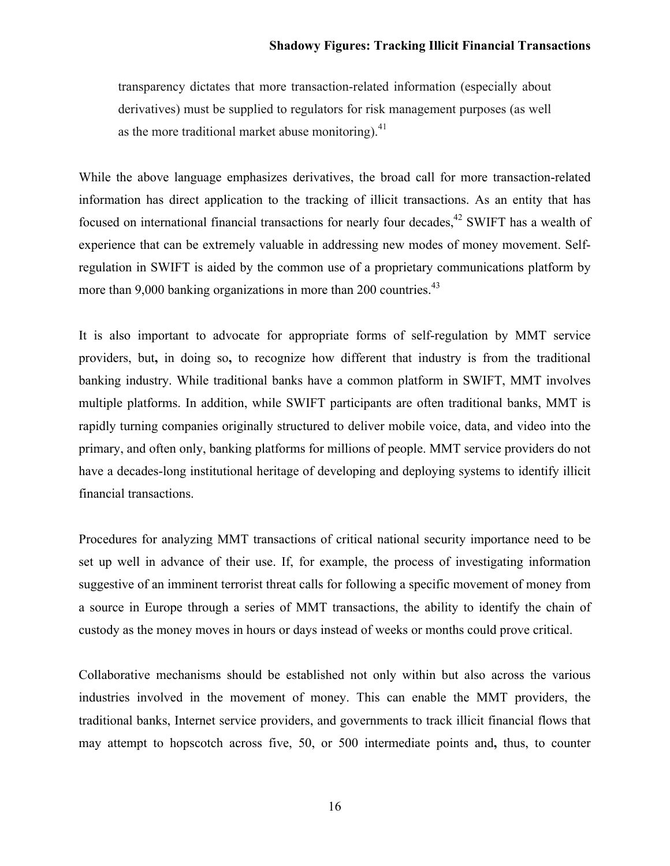transparency dictates that more transaction-related information (especially about derivatives) must be supplied to regulators for risk management purposes (as well as the more traditional market abuse monitoring). $41$ 

While the above language emphasizes derivatives, the broad call for more transaction-related information has direct application to the tracking of illicit transactions. As an entity that has focused on international financial transactions for nearly four decades,<sup>42</sup> SWIFT has a wealth of experience that can be extremely valuable in addressing new modes of money movement. Selfregulation in SWIFT is aided by the common use of a proprietary communications platform by more than 9,000 banking organizations in more than 200 countries.<sup>43</sup>

It is also important to advocate for appropriate forms of self-regulation by MMT service providers, but**,** in doing so**,** to recognize how different that industry is from the traditional banking industry. While traditional banks have a common platform in SWIFT, MMT involves multiple platforms. In addition, while SWIFT participants are often traditional banks, MMT is rapidly turning companies originally structured to deliver mobile voice, data, and video into the primary, and often only, banking platforms for millions of people. MMT service providers do not have a decades-long institutional heritage of developing and deploying systems to identify illicit financial transactions.

Procedures for analyzing MMT transactions of critical national security importance need to be set up well in advance of their use. If, for example, the process of investigating information suggestive of an imminent terrorist threat calls for following a specific movement of money from a source in Europe through a series of MMT transactions, the ability to identify the chain of custody as the money moves in hours or days instead of weeks or months could prove critical.

Collaborative mechanisms should be established not only within but also across the various industries involved in the movement of money. This can enable the MMT providers, the traditional banks, Internet service providers, and governments to track illicit financial flows that may attempt to hopscotch across five, 50, or 500 intermediate points and**,** thus, to counter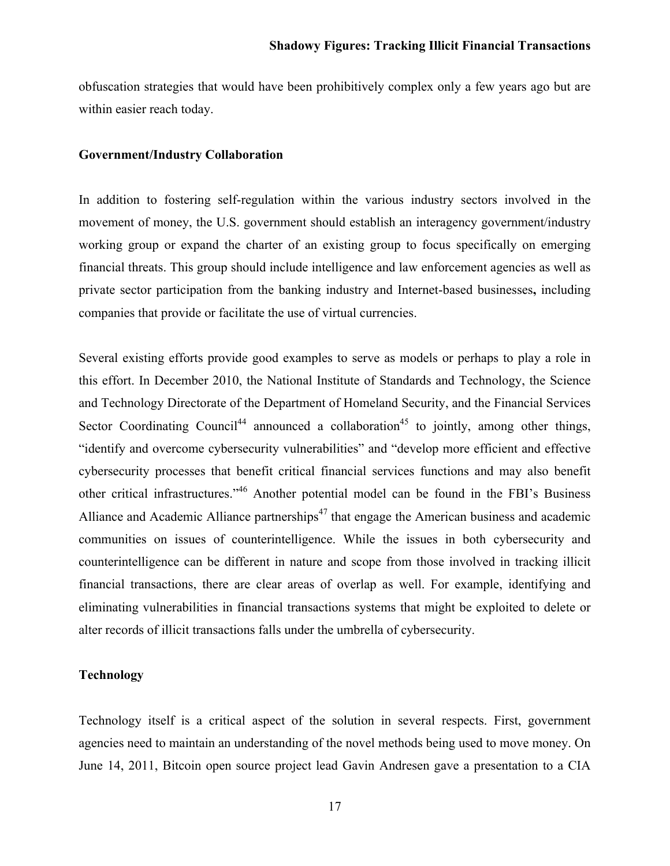obfuscation strategies that would have been prohibitively complex only a few years ago but are within easier reach today.

#### **Government/Industry Collaboration**

In addition to fostering self-regulation within the various industry sectors involved in the movement of money, the U.S. government should establish an interagency government/industry working group or expand the charter of an existing group to focus specifically on emerging financial threats. This group should include intelligence and law enforcement agencies as well as private sector participation from the banking industry and Internet-based businesses**,** including companies that provide or facilitate the use of virtual currencies.

Several existing efforts provide good examples to serve as models or perhaps to play a role in this effort. In December 2010, the National Institute of Standards and Technology, the Science and Technology Directorate of the Department of Homeland Security, and the Financial Services Sector Coordinating Council<sup>44</sup> announced a collaboration<sup>45</sup> to jointly, among other things, "identify and overcome cybersecurity vulnerabilities" and "develop more efficient and effective cybersecurity processes that benefit critical financial services functions and may also benefit other critical infrastructures."<sup>46</sup> Another potential model can be found in the FBI's Business Alliance and Academic Alliance partnerships<sup> $47$ </sup> that engage the American business and academic communities on issues of counterintelligence. While the issues in both cybersecurity and counterintelligence can be different in nature and scope from those involved in tracking illicit financial transactions, there are clear areas of overlap as well. For example, identifying and eliminating vulnerabilities in financial transactions systems that might be exploited to delete or alter records of illicit transactions falls under the umbrella of cybersecurity.

## **Technology**

Technology itself is a critical aspect of the solution in several respects. First, government agencies need to maintain an understanding of the novel methods being used to move money. On June 14, 2011, Bitcoin open source project lead Gavin Andresen gave a presentation to a CIA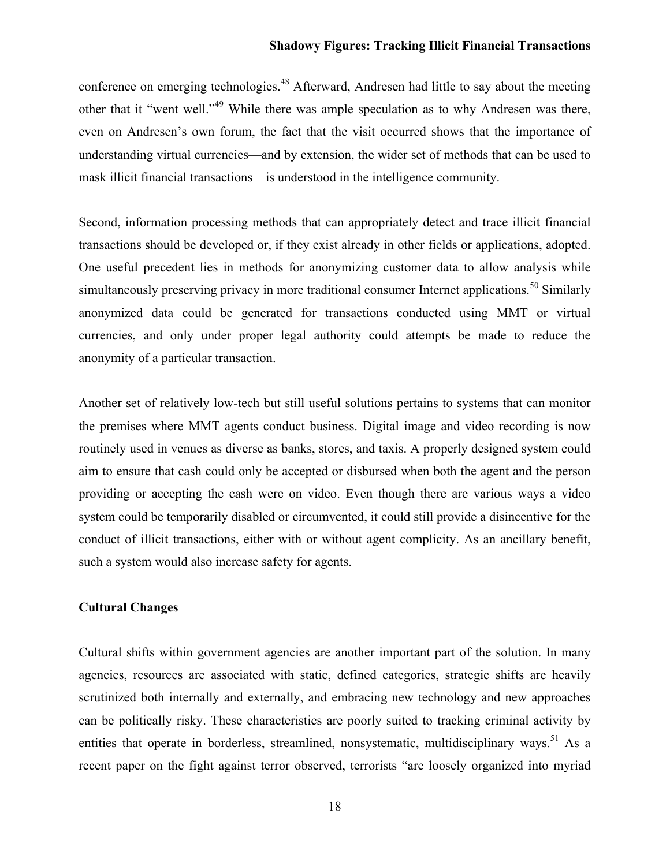conference on emerging technologies.<sup>48</sup> Afterward, Andresen had little to say about the meeting other that it "went well."49 While there was ample speculation as to why Andresen was there, even on Andresen's own forum, the fact that the visit occurred shows that the importance of understanding virtual currencies—and by extension, the wider set of methods that can be used to mask illicit financial transactions—is understood in the intelligence community.

Second, information processing methods that can appropriately detect and trace illicit financial transactions should be developed or, if they exist already in other fields or applications, adopted. One useful precedent lies in methods for anonymizing customer data to allow analysis while simultaneously preserving privacy in more traditional consumer Internet applications.<sup>50</sup> Similarly anonymized data could be generated for transactions conducted using MMT or virtual currencies, and only under proper legal authority could attempts be made to reduce the anonymity of a particular transaction.

Another set of relatively low-tech but still useful solutions pertains to systems that can monitor the premises where MMT agents conduct business. Digital image and video recording is now routinely used in venues as diverse as banks, stores, and taxis. A properly designed system could aim to ensure that cash could only be accepted or disbursed when both the agent and the person providing or accepting the cash were on video. Even though there are various ways a video system could be temporarily disabled or circumvented, it could still provide a disincentive for the conduct of illicit transactions, either with or without agent complicity. As an ancillary benefit, such a system would also increase safety for agents.

### **Cultural Changes**

Cultural shifts within government agencies are another important part of the solution. In many agencies, resources are associated with static, defined categories, strategic shifts are heavily scrutinized both internally and externally, and embracing new technology and new approaches can be politically risky. These characteristics are poorly suited to tracking criminal activity by entities that operate in borderless, streamlined, nonsystematic, multidisciplinary ways.<sup>51</sup> As a recent paper on the fight against terror observed, terrorists "are loosely organized into myriad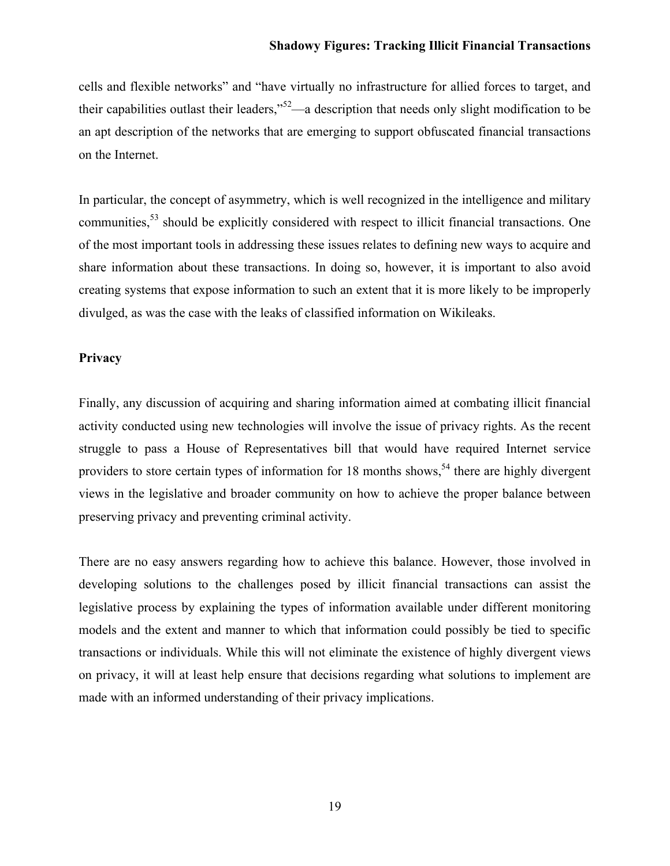cells and flexible networks" and "have virtually no infrastructure for allied forces to target, and their capabilities outlast their leaders,"52—a description that needs only slight modification to be an apt description of the networks that are emerging to support obfuscated financial transactions on the Internet.

In particular, the concept of asymmetry, which is well recognized in the intelligence and military communities,<sup>53</sup> should be explicitly considered with respect to illicit financial transactions. One of the most important tools in addressing these issues relates to defining new ways to acquire and share information about these transactions. In doing so, however, it is important to also avoid creating systems that expose information to such an extent that it is more likely to be improperly divulged, as was the case with the leaks of classified information on Wikileaks.

#### **Privacy**

Finally, any discussion of acquiring and sharing information aimed at combating illicit financial activity conducted using new technologies will involve the issue of privacy rights. As the recent struggle to pass a House of Representatives bill that would have required Internet service providers to store certain types of information for 18 months shows,<sup>54</sup> there are highly divergent views in the legislative and broader community on how to achieve the proper balance between preserving privacy and preventing criminal activity.

There are no easy answers regarding how to achieve this balance. However, those involved in developing solutions to the challenges posed by illicit financial transactions can assist the legislative process by explaining the types of information available under different monitoring models and the extent and manner to which that information could possibly be tied to specific transactions or individuals. While this will not eliminate the existence of highly divergent views on privacy, it will at least help ensure that decisions regarding what solutions to implement are made with an informed understanding of their privacy implications.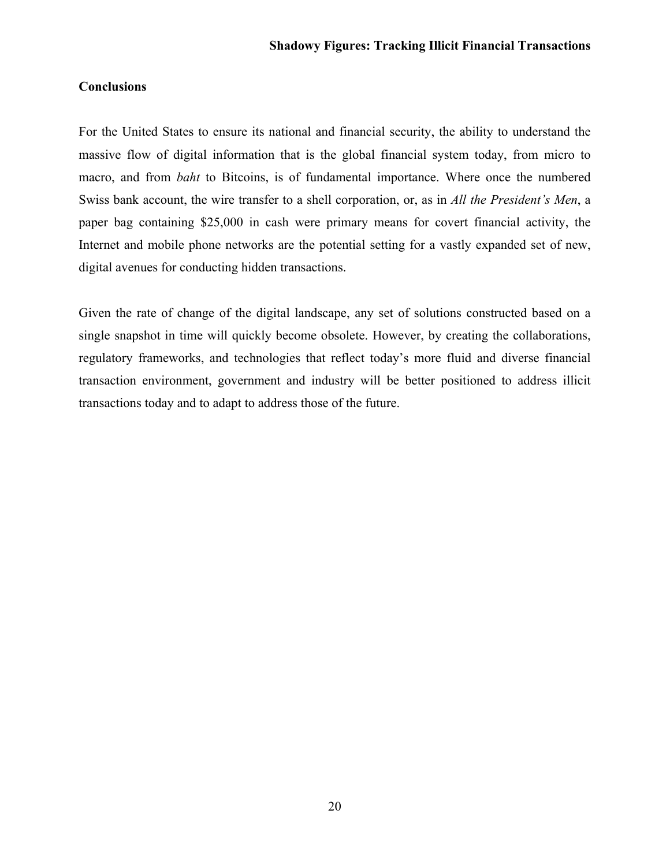# **Conclusions**

For the United States to ensure its national and financial security, the ability to understand the massive flow of digital information that is the global financial system today, from micro to macro, and from *baht* to Bitcoins, is of fundamental importance. Where once the numbered Swiss bank account, the wire transfer to a shell corporation, or, as in *All the President's Men*, a paper bag containing \$25,000 in cash were primary means for covert financial activity, the Internet and mobile phone networks are the potential setting for a vastly expanded set of new, digital avenues for conducting hidden transactions.

Given the rate of change of the digital landscape, any set of solutions constructed based on a single snapshot in time will quickly become obsolete. However, by creating the collaborations, regulatory frameworks, and technologies that reflect today's more fluid and diverse financial transaction environment, government and industry will be better positioned to address illicit transactions today and to adapt to address those of the future.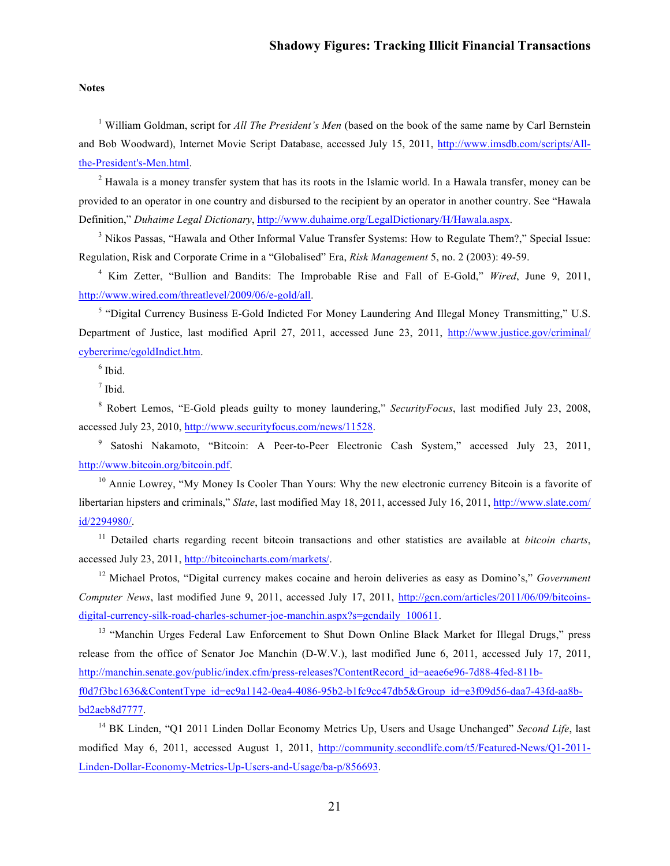#### **Notes**

<sup>1</sup> William Goldman, script for *All The President's Men* (based on the book of the same name by Carl Bernstein and Bob Woodward), Internet Movie Script Database, [accessed July 15, 2011, http://www.imsdb.com/scripts/All](http://www.imsdb.com/scripts/All-the-President%27s-Men.html)the-President's-Men.html.

 $2$  Hawala is a money transfer system that has its roots in the Islamic world. In a Hawala transfer, money can be provided to an operator in one country and disbursed to the recipient by an operator in another country. See "Hawala Definition," *Duhaime Legal Dictionary*,<http://www.duhaime.org/LegalDictionary/H/Hawala.aspx>.

<sup>3</sup> Nikos Passas, "Hawala and Other Informal Value Transfer Systems: How to Regulate Them?," Special Issue: Regulation, Risk and Corporate Crime in a "Globalised" Era, *Risk Management* 5, no. 2 (2003): 49-59.

<sup>4</sup> Kim Zetter, "Bullion and Bandits: The Improbable Rise and Fall of E-Gold," *Wired*, June 9, 2011, [http://www.wired.com/threatlevel/2009/06/e-gold/all](http://www.duhaime.org/LegalDictionary/H/Hawala.aspx).

<sup>5</sup> "Digital Currency Business E-Gold Indicted For Money Laundering And Illegal Money Transmitting," U.S. Department of Justice, last modified April 27, 2011, accessed [June 23, 2011, http://www.justice.gov/criminal/](http://www.justice.gov/criminal/cybercrime/egoldIndict.htm)  cybercrime/egoldIndict.htm.

 $<sup>6</sup>$  Ibid.</sup>

 $<sup>7</sup>$  Ibid.</sup>

<sup>8</sup> Robert Lemos, "E-Gold pleads guilty to money laundering," *SecurityFocus*, last modified July 23, 2008, accessed July 23, 2010, [http://www.securityfocus.com/news/11528.](http://www.securityfocus.com/news/11528)

<sup>9</sup> Satoshi Nakamoto, "Bitcoin: A Peer-to-Peer Electronic Cash System," accessed July 23, 2011, <http://www.bitcoin.org/bitcoin.pdf>.

<sup>10</sup> Annie Lowrey, "My Money Is Cooler Than Yours: Why the new electronic currency Bitcoin is a favorite of libertarian hipsters and criminals," *Slate*[, last modified May 18, 2011, accessed July 16, 2011, http://www.slate.com/](http://www.slate.com/id/2294980/)  id/2294980/.

<sup>11</sup> Detailed charts regarding recent bitcoin transactions and other statistics are available at *bitcoin charts*, accessed July 23, 2011, <http://bitcoincharts.com/markets/>.

<sup>12</sup> Michael Protos, "Digital currency makes cocaine and heroin deliveries as easy as Domino's," *Government Computer News*, last modified June 9, 2011, accessed July 17, 2011, http://gcn.com/articles/2011/06/09/bitcoins[digital-currency-silk-road-charles-schumer-joe-manchin.aspx?s=gcndaily\\_100611.](http://gcn.com/articles/2011/06/09/bitcoins-digital-currency-silk-road-charles-schumer-joe-manchin.aspx?s=gcndaily_100611)

<sup>13</sup> "Manchin Urges Federal Law Enforcement to Shut Down Online Black Market for Illegal Drugs," press release from the office of Senator Joe Manchin (D-W.V.), last modified June 6, 2011, accessed July 17, 2011, http://manchin.senate.gov/public/index.cfm/press-releases?ContentRecord\_id=aeae6e96-7d88-4fed-811b[f0d7f3bc1636&ContentType\\_id=ec9a1142-0ea4-4086-95b2-b1fc9cc47db5&Group\\_id=e3f09d56-daa7-43fd-aa8b](http://manchin.senate.gov/public/index.cfm/press-releases?ContentRecord_id=aeae6e96-7d88-4fed-811b-f0d7f3bc1636&ContentType_id=ec9a1142-0ea4-4086-95b2-b1fc9cc47db5&Group_id=e3f09d56-daa7-43fd-aa8b-bd2aeb8d7777)bd2aeb8d7777.

<sup>14</sup> BK Linden, "Q1 2011 Linden Dollar Economy Metrics Up, Users and Usage Unchanged" *Second Life*, last modified May 6, 2011, accessed August 1, 2011, http://community.secondlife.com/t5/Featured-News/Q1-2011- [Linden-Dollar-Economy-Metrics-Up-Users-and-Usage/ba-p/856693.](http://community.secondlife.com/t5/Featured-News/Q1-2011-Linden-Dollar-Economy-Metrics-Up-Users-and-Usage/ba-p/856693)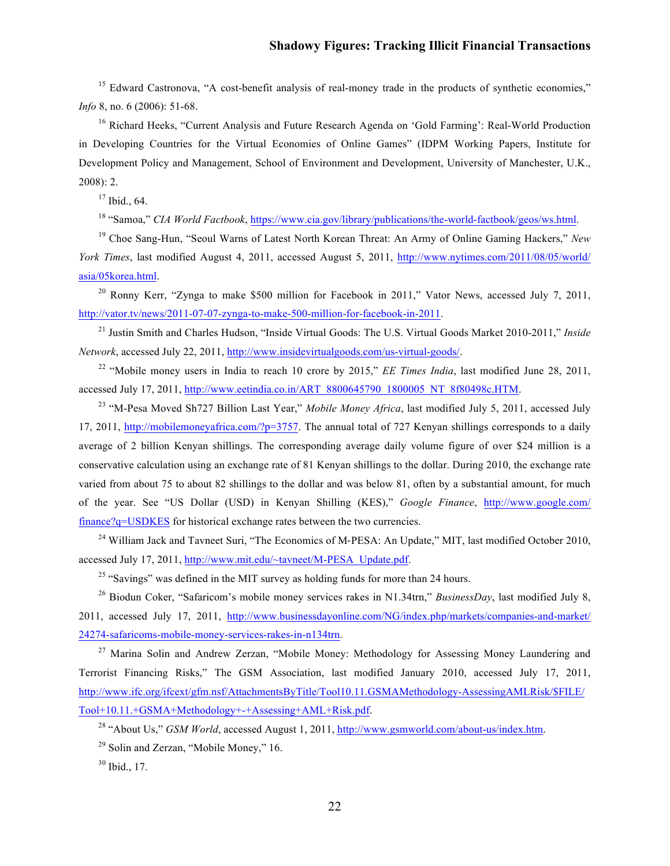<sup>15</sup> Edward Castronova, "A cost-benefit analysis of real-money trade in the products of synthetic economies," *Info* 8, no. 6 (2006): 51-68.

<sup>16</sup> Richard Heeks, "Current Analysis and Future Research Agenda on 'Gold Farming': Real-World Production in Developing Countries for the Virtual Economies of Online Games" (IDPM Working Papers, Institute for Development Policy and Management, School of Environment and Development, University of Manchester, U.K., 2008): 2.

 $17$  Ibid., 64.

<sup>18</sup> "Samoa," *CIA World Factbook*, [https://www.cia.gov/library/publications/the-world-factbook/geos/ws.html.](https://www.cia.gov/library/publications/the-world-factbook/geos/ws.html)

<sup>19</sup> Choe Sang-Hun, "Seoul Warns of Latest North Korean Threat: An Army of Online Gaming Hackers," *New York Times*[, last modified August 4, 2011, accessed August 5, 2011,](http://www.nytimes.com/2011/08/05/world/asia/05korea.html?_r=1) http://www.nytimes.com/2011/08/05/world/ asia/05korea.html.

<sup>20</sup> Ronny Kerr, "Zynga to make \$500 million for Facebook in 2011," Vator News, accessed July 7, 2011, [http://vator.tv/news/2011-07-07-zynga-to-make-500-million-for-facebook-in-2011.](http://vator.tv/news/2011-07-07-zynga-to-make-500-million-for-facebook-in-2011)

<sup>21</sup> Justin Smith and Charles Hudson, "Inside Virtual Goods: The U.S. Virtual Goods Market 2010-2011," *Inside Network*, accessed July 22, 2011, <http://www.insidevirtualgoods.com/us-virtual-goods/>.

<sup>22</sup> "Mobile money users in India to reach 10 crore by 2015," *EE Times India*, last modified June 28, 2011, accessed July 17, 2011[, http://www.eetindia.co.in/ART\\_8800645790\\_1800005\\_NT\\_8f80498c.HTM](http://www.eetindia.co.in/ART_8800645790_1800005_NT_8f80498c.HTM).

<sup>23</sup> "M-Pesa Moved Sh727 Billion Last Year," *Mobile Money Africa*, last modified July 5, 2011, accessed July 17, 2011, [http://mobilemoneyafrica.com/?p=3757.](http://mobilemoneyafrica.com/?p=3757) The annual total of 727 Kenyan shillings corresponds to a daily average of 2 billion Kenyan shillings. The corresponding average daily volume figure of over \$24 million is a conservative calculation using an exchange rate of 81 Kenyan shillings to the dollar. During 2010, the exchange rate varied from about 75 to about 82 shillings to the dollar and was below 81, often by a substantial amount, for much of the year. See "US Dollar (USD) in Kenyan Shilling (KES)," *Google Finance*, http://www.google.com/ finance?q=USDKES [for historical exchange rates between the two currencies.](http://www.google.com/finance?q=USDKES)

 $^{24}$  William Jack and Tavneet Suri, "The Economics of M-PESA: An Update," MIT, last modified October 2010, accessed July 17, 2011, [http://www.mit.edu/~tavneet/M-PESA\\_Update.pdf](http://www.mit.edu/~tavneet/M-PESA_Update.pdf).

 $^{25}$  "Savings" was defined in the MIT survey as holding funds for more than 24 hours.

<sup>26</sup> Biodun Coker, "Safaricom's mobile money services rakes in N1.34trn," *BusinessDay*, last modified July 8, [2011, accessed July 17, 2011, http://www.businessdayonline.com/NG/index.php/markets/companies-and-market/](http://www.businessdayonline.com/NG/index.php/markets/companies-and-market/24274-safaricoms-mobile-money-services-rakes-in-n134trn) 24274-safaricoms-mobile-money-services-rakes-in-n134trn.

<sup>27</sup> Marina Solin and Andrew Zerzan, "Mobile Money: Methodology for Assessing Money Laundering and Terrorist Financing Risks," The GSM Association, last modified January 2010, accessed July 17, 2011, [http://www.ifc.org/ifcext/gfm.nsf/AttachmentsByTitle/Tool10.11.GSMAMethodology-AssessingAMLRisk/\\$FILE/](http://www.ifc.org/ifcext/gfm.nsf/AttachmentsByTitle/Tool10.11.GSMAMethodology-AssessingAMLRisk/$FILE/Tool+10.11.+GSMA+Methodology+-+Assessing+AML+Risk.pdf) Tool+10.11.+GSMA+Methodology+-+Assessing+AML+Risk.pdf.

<sup>28</sup> "About Us," *GSM World*, accessed August 1, 2011,<http://www.gsmworld.com/about-us/index.htm>.

 $29$  Solin and Zerzan, "Mobile Money," 16.

<sup>30</sup> Ibid., 17.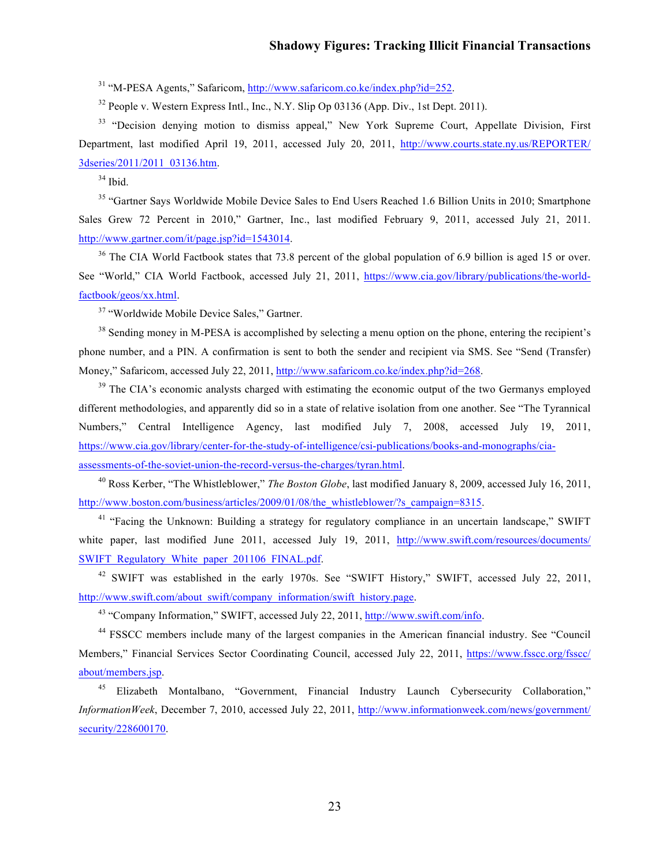<sup>31</sup> "M-PESA Agents," Safaricom,<http://www.safaricom.co.ke/index.php?id=252>.

 $32$  People v. Western Express Intl., Inc., N.Y. Slip Op 03136 (App. Div., 1st Dept. 2011).

<sup>33</sup> "Decision denying motion to dismiss appeal," New York Supreme Court, Appellate Division, First Department, last modified April 19, 2011, accessed July 20, [2011, http://www.courts.state.ny.us/REPORTER/](http://www.courts.state.ny.us/REPORTER/3dseries/2011/2011_03136.htm)  3dseries/2011/2011\_03136.htm.

 $^{34}$  Ibid.

<sup>35</sup> "Gartner Says Worldwide Mobile Device Sales to End Users Reached 1.6 Billion Units in 2010; Smartphone Sales Grew 72 Percent in 2010," Gartner, Inc., last modified February 9, 2011, accessed July 21, 2011. <http://www.gartner.com/it/page.jsp?id=1543014>.

<sup>36</sup> The CIA World Factbook states that 73.8 percent of the global population of 6.9 billion is aged 15 or over. See ["World," CIA World Factbook, accessed July 21, 2011,](https://www.cia.gov/library/publications/the-world-factbook/geos/xx.html) https://www.cia.gov/library/publications/the-worldfactbook/geos/xx.html.

<sup>37</sup> "Worldwide Mobile Device Sales," Gartner.

<sup>38</sup> Sending money in M-PESA is accomplished by selecting a menu option on the phone, entering the recipient's phone number, and a PIN. A confirmation is sent to both the sender and recipient via SMS. See "Send (Transfer) Money," Safaricom, accessed July 22, 2011, <http://www.safaricom.co.ke/index.php?id=268>.

 $39$  The CIA's economic analysts charged with estimating the economic output of the two Germanys employed different methodologies, and apparently did so in a state of relative isolation from one another. See "The Tyrannical Numbers," Central Intelligence Agency, last modified July 7, 2008, accessed July 19, 2011, [https://www.cia.gov/library/center-for-the-study-of-intelligence/csi-publications/books-and-monographs/cia](https://www.cia.gov/library/center-for-the-study-of-intelligence/csi-publications/books-and-monographs/cia-assessments-of-the-soviet-union-the-record-versus-the-charges/tyran.html)assessments-of-the-soviet-union-the-record-versus-the-charges/tyran.html.

<sup>40</sup> Ross Kerber, "The Whistleblower," *The Boston Globe*, last modified January 8, 2009, accessed July 16, 2011, [http://www.boston.com/business/articles/2009/01/08/the\\_whistleblower/?s\\_campaign=8315](http://www.boston.com/business/articles/2009/01/08/the_whistleblower/?s_campaign=8315).

<sup>41</sup> "Facing the Unknown: Building a strategy for regulatory compliance in an uncertain landscape," SWIFT white paper, last modified June 2011, accessed July 19, 2011, http://www.swift.com/resources/documents/ [SWIFT\\_Regulatory\\_White\\_paper\\_201106\\_FINAL.pdf.](http://www.swift.com/resources/documents/SWIFT_Regulatory_White_paper_201106_FINAL.pdf)

<sup>42</sup> SWIFT was established in the early 1970s. See "SWIFT History," SWIFT, accessed July 22, 2011, [http://www.swift.com/about\\_swift/company\\_information/swift\\_history.page](http://www.swift.com/about_swift/company_information/swift_history.page).

<sup>43</sup> "Company Information," SWIFT, accessed July 22, 2011, <http://www.swift.com/info>.

<sup>44</sup> FSSCC members include many of the largest companies in the American financial industry. See "Council [Members," Financial Services Sector Coordinating Council, accessed July 22, 2011, https://www.fsscc.org/fsscc/](https://www.fsscc.org/fsscc/about/members.jsp)  about/members.jsp.

<sup>45</sup> Elizabeth Montalbano, "Government, Financial Industry Launch Cybersecurity Collaboration," *InformationWeek*[, December 7, 2010, accessed July 22, 2011, http://www.informationweek.com/news/government/](http://www.informationweek.com/news/government/security/228600170)  security/228600170.